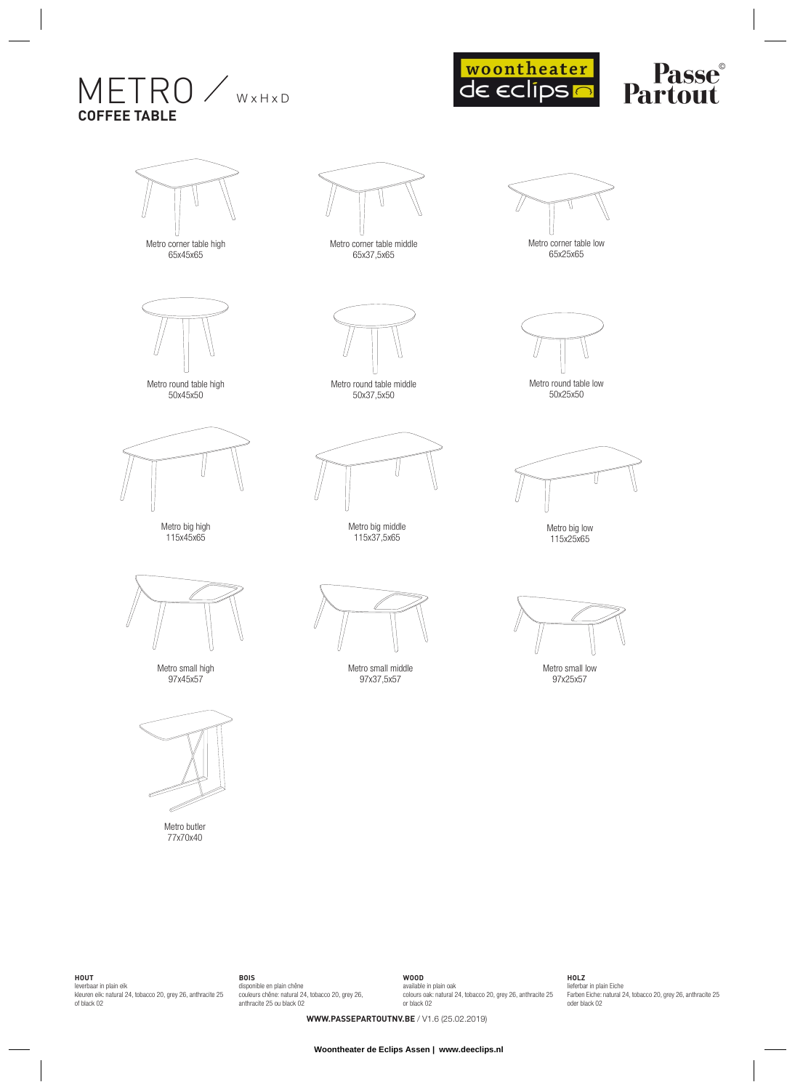## $METRO /$ **COFFEE TABLE**



## **Passe**<br>**Partout**



Metro corner table high 65x45x65



Metro round table high 50x45x50



Metro big high 115x45x65



Metro small high 97x45x57



77x70x40



65x37,5x65



Metro round table middle 50x37,5x50



Metro big middle 115x37,5x65



Metro small middle 97x37,5x57



Metro round table low 50x25x50





**HOUT**

leverbaar in plain eik kleuren eik: natural 24, tobacco 20, grey 26, anthracite 25 of black 02 **BOIS** disponible en plain chêne couleurs chêne: natural 24, tobacco 20, grey 26, anthracite 25 ou black 02 **WOOD** available in plain oak colours oak: natural 24, tobacco 20, grey 26, anthracite 25 or black 02 **HOLZ**

lieferbar in plain Eiche Farben Eiche: natural 24, tobacco 20, grey 26, anthracite 25 oder black 02

**WWW.PASSEPARTOUTNV.BE** / V1.6 (25.02.2019)